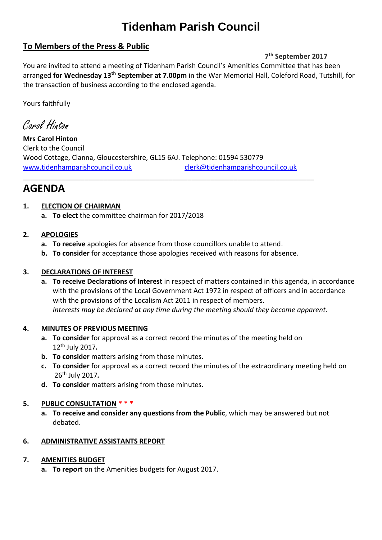# **Tidenham Parish Council**

### **To Members of the Press & Public**

### **7 th September 2017**

You are invited to attend a meeting of Tidenham Parish Council's Amenities Committee that has been arranged **for Wednesday 13th September at 7.00pm** in the War Memorial Hall, Coleford Road, Tutshill, for the transaction of business according to the enclosed agenda.

Yours faithfully

Carol Hinton

**Mrs Carol Hinton** Clerk to the Council Wood Cottage, Clanna, Gloucestershire, GL15 6AJ. Telephone: 01594 530779 [www.tidenhamparishcouncil.co.uk](http://www.tidenhamparishcouncil.co.uk/) [clerk@tidenhamparishcouncil.co.uk](mailto:clerk@tidenhamparishcouncil.co.uk)

\_\_\_\_\_\_\_\_\_\_\_\_\_\_\_\_\_\_\_\_\_\_\_\_\_\_\_\_\_\_\_\_\_\_\_\_\_\_\_\_\_\_\_\_\_\_\_\_\_\_\_\_\_\_\_\_\_\_\_\_\_\_\_\_\_\_\_\_\_\_\_\_\_\_\_\_

## **AGENDA**

### **1. ELECTION OF CHAIRMAN**

**a. To elect** the committee chairman for 2017/2018

- **2. APOLOGIES**
	- **a. To receive** apologies for absence from those councillors unable to attend.
	- **b. To consider** for acceptance those apologies received with reasons for absence.

### **3. DECLARATIONS OF INTEREST**

**a. To receive Declarations of Interest** in respect of matters contained in this agenda, in accordance with the provisions of the Local Government Act 1972 in respect of officers and in accordance with the provisions of the Localism Act 2011 in respect of members. *Interests may be declared at any time during the meeting should they become apparent.*

### **4. MINUTES OF PREVIOUS MEETING**

- **a. To consider** for approval as a correct record the minutes of the meeting held on 12 th July 2017*.*
- **b. To consider** matters arising from those minutes.
- **c. To consider** for approval as a correct record the minutes of the extraordinary meeting held on 26th July 2017*.*
- **d. To consider** matters arising from those minutes.

### **5. PUBLIC CONSULTATION \* \* \***

**a. To receive and consider any questions from the Public**, which may be answered but not debated.

### **6. ADMINISTRATIVE ASSISTANTS REPORT**

### **7. AMENITIES BUDGET**

**a. To report** on the Amenities budgets for August 2017.